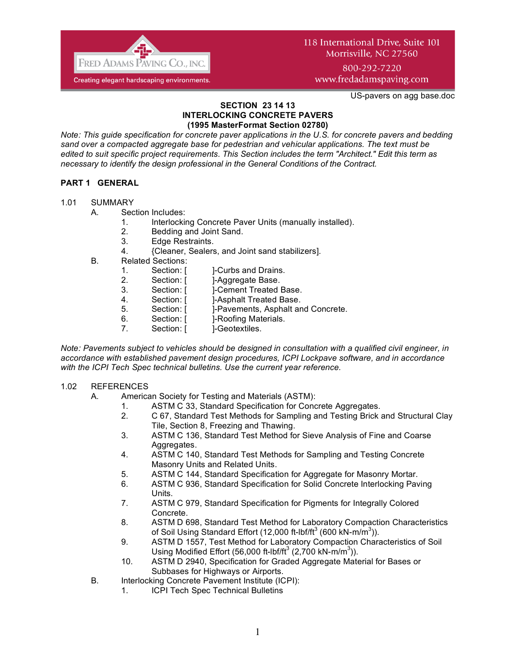

800-292-7220 www.fredadamspaving.com

US-pavers on agg base.doc

#### **SECTION 23 14 13 INTERLOCKING CONCRETE PAVERS (1995 MasterFormat Section 02780)**

*Note: This guide specification for concrete paver applications in the U.S. for concrete pavers and bedding sand over a compacted aggregate base for pedestrian and vehicular applications. The text must be edited to suit specific project requirements. This Section includes the term "Architect." Edit this term as necessary to identify the design professional in the General Conditions of the Contract.*

## **PART 1 GENERAL**

#### 1.01 SUMMARY

#### A. Section Includes:

- 1. Interlocking Concrete Paver Units (manually installed).
- 2. Bedding and Joint Sand.
- 3. Edge Restraints.
- 4. {Cleaner, Sealers, and Joint sand stabilizers].
- B. Related Sections:
	- 1. Section: [ ]-Curbs and Drains.
	- 2. Section: [ ]-Aggregate Base.
	- 3. Section: [ ]-Cement Treated Base.
	- 4. Section: [ ]-Asphalt Treated Base.
	- 5. Section: [ ]-Pavements, Asphalt and Concrete.
	- 6. Section: [ ]-Roofing Materials.
	- 7. Section: [ ]-Geotextiles.

*Note: Pavements subject to vehicles should be designed in consultation with a qualified civil engineer, in accordance with established pavement design procedures, ICPI Lockpave software, and in accordance with the ICPI Tech Spec technical bulletins. Use the current year reference.* 

#### 1.02 REFERENCES

- A. American Society for Testing and Materials (ASTM):
	- 1. ASTM C 33, Standard Specification for Concrete Aggregates.
	- 2. C 67, Standard Test Methods for Sampling and Testing Brick and Structural Clay Tile, Section 8, Freezing and Thawing.
	- 3. ASTM C 136, Standard Test Method for Sieve Analysis of Fine and Coarse Aggregates.
	- 4. ASTM C 140, Standard Test Methods for Sampling and Testing Concrete Masonry Units and Related Units.
	- 5. ASTM C 144, Standard Specification for Aggregate for Masonry Mortar.
	- 6. ASTM C 936, Standard Specification for Solid Concrete Interlocking Paving Units.
	- 7. ASTM C 979, Standard Specification for Pigments for Integrally Colored Concrete.
	- 8. ASTM D 698, Standard Test Method for Laboratory Compaction Characteristics of Soil Using Standard Effort (12,000 ft-lbf/ft<sup>3</sup> (600 kN-m/m<sup>3</sup>)).
	- 9. ASTM D 1557, Test Method for Laboratory Compaction Characteristics of Soil Using Modified Effort (56,000 ft-lbf/ft<sup>3</sup> (2,700 kN-m/m<sup>3</sup>)).
	- 10. ASTM D 2940, Specification for Graded Aggregate Material for Bases or Subbases for Highways or Airports.
- B. Interlocking Concrete Pavement Institute (ICPI):
	- 1. ICPI Tech Spec Technical Bulletins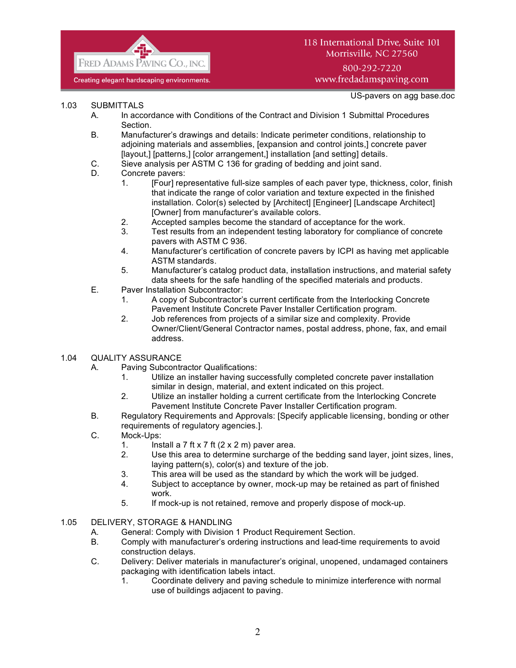

800-292-7220 www.fredadamspaving.com

US-pavers on agg base.doc

- 1.03 SUBMITTALS
	- A. In accordance with Conditions of the Contract and Division 1 Submittal Procedures Section.
	- B. Manufacturer's drawings and details: Indicate perimeter conditions, relationship to adjoining materials and assemblies, [expansion and control joints,] concrete paver [layout,] [patterns,] [color arrangement,] installation [and setting] details.
	- C. Sieve analysis per ASTM C 136 for grading of bedding and joint sand.
	- D. Concrete pavers:
		- 1. [Four] representative full-size samples of each paver type, thickness, color, finish that indicate the range of color variation and texture expected in the finished installation. Color(s) selected by [Architect] [Engineer] [Landscape Architect] [Owner] from manufacturer's available colors.
		- 2. Accepted samples become the standard of acceptance for the work.
		- 3. Test results from an independent testing laboratory for compliance of concrete pavers with ASTM C 936.
		- 4. Manufacturer's certification of concrete pavers by ICPI as having met applicable ASTM standards.
		- 5. Manufacturer's catalog product data, installation instructions, and material safety data sheets for the safe handling of the specified materials and products.
	- E. Paver Installation Subcontractor:
		- 1. A copy of Subcontractor's current certificate from the Interlocking Concrete Pavement Institute Concrete Paver Installer Certification program.
		- 2. Job references from projects of a similar size and complexity. Provide Owner/Client/General Contractor names, postal address, phone, fax, and email address.
- 1.04 QUALITY ASSURANCE
	- A. Paving Subcontractor Qualifications:
		- 1. Utilize an installer having successfully completed concrete paver installation similar in design, material, and extent indicated on this project.
		- 2. Utilize an installer holding a current certificate from the Interlocking Concrete Pavement Institute Concrete Paver Installer Certification program.
	- B. Regulatory Requirements and Approvals: [Specify applicable licensing, bonding or other requirements of regulatory agencies.].
	- C. Mock-Ups:
		- 1. Install a 7 ft x 7 ft  $(2 \times 2 \text{ m})$  paver area.
		- 2. Use this area to determine surcharge of the bedding sand layer, joint sizes, lines, laying pattern(s), color(s) and texture of the job.
		- 3. This area will be used as the standard by which the work will be judged.
		- 4. Subject to acceptance by owner, mock-up may be retained as part of finished work.
		- 5. If mock-up is not retained, remove and properly dispose of mock-up.
- 1.05 DELIVERY, STORAGE & HANDLING
	- A. General: Comply with Division 1 Product Requirement Section.
	- B. Comply with manufacturer's ordering instructions and lead-time requirements to avoid construction delays.
	- C. Delivery: Deliver materials in manufacturer's original, unopened, undamaged containers packaging with identification labels intact.
		- 1. Coordinate delivery and paving schedule to minimize interference with normal use of buildings adjacent to paving.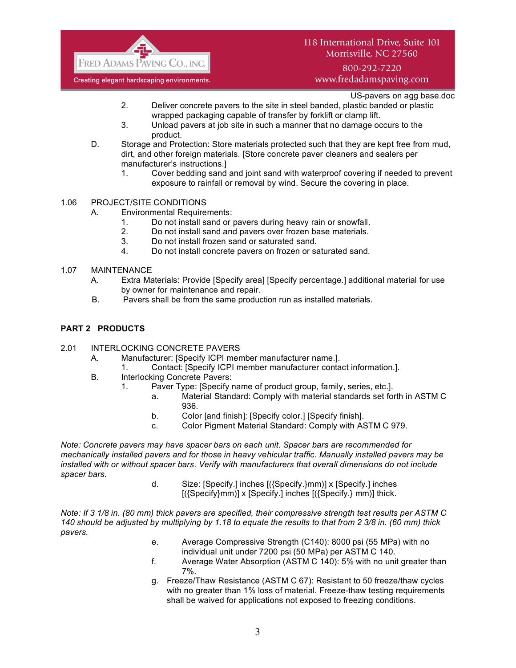

800-292-7220 www.fredadamspaving.com

US-pavers on agg base.doc

- 2. Deliver concrete pavers to the site in steel banded, plastic banded or plastic wrapped packaging capable of transfer by forklift or clamp lift.
- 3. Unload pavers at job site in such a manner that no damage occurs to the product.
- D. Storage and Protection: Store materials protected such that they are kept free from mud, dirt, and other foreign materials. [Store concrete paver cleaners and sealers per manufacturer's instructions.]
	- 1. Cover bedding sand and joint sand with waterproof covering if needed to prevent exposure to rainfall or removal by wind. Secure the covering in place.
- 1.06 PROJECT/SITE CONDITIONS
	- A. Environmental Requirements:
		- 1. Do not install sand or pavers during heavy rain or snowfall.
		- 2. Do not install sand and pavers over frozen base materials.
		- 3. Do not install frozen sand or saturated sand.
		- 4. Do not install concrete pavers on frozen or saturated sand.
- 1.07 MAINTENANCE
	- A. Extra Materials: Provide [Specify area] [Specify percentage.] additional material for use by owner for maintenance and repair.
	- B. Pavers shall be from the same production run as installed materials.

### **PART 2 PRODUCTS**

- 2.01 INTERLOCKING CONCRETE PAVERS
	- A. Manufacturer: [Specify ICPI member manufacturer name.].
		- 1. Contact: [Specify ICPI member manufacturer contact information.].
	- B. Interlocking Concrete Pavers:
		- 1. Paver Type: [Specify name of product group, family, series, etc.].
			- a. Material Standard: Comply with material standards set forth in ASTM C 936.
			- b. Color [and finish]: [Specify color.] [Specify finish].
			- c. Color Pigment Material Standard: Comply with ASTM C 979.

*Note: Concrete pavers may have spacer bars on each unit. Spacer bars are recommended for mechanically installed pavers and for those in heavy vehicular traffic. Manually installed pavers may be installed with or without spacer bars. Verify with manufacturers that overall dimensions do not include spacer bars.*

> d. Size: [Specify.] inches [({Specify.}mm)] x [Specify.] inches [({Specify}mm)] x [Specify.] inches [({Specify.} mm)] thick.

*Note: If 3 1/8 in. (80 mm) thick pavers are specified, their compressive strength test results per ASTM C 140 should be adjusted by multiplying by 1.18 to equate the results to that from 2 3/8 in. (60 mm) thick pavers.*

- e. Average Compressive Strength (C140): 8000 psi (55 MPa) with no individual unit under 7200 psi (50 MPa) per ASTM C 140.
- f. Average Water Absorption (ASTM C 140): 5% with no unit greater than 7%.
- g. Freeze/Thaw Resistance (ASTM C 67): Resistant to 50 freeze/thaw cycles with no greater than 1% loss of material. Freeze-thaw testing requirements shall be waived for applications not exposed to freezing conditions.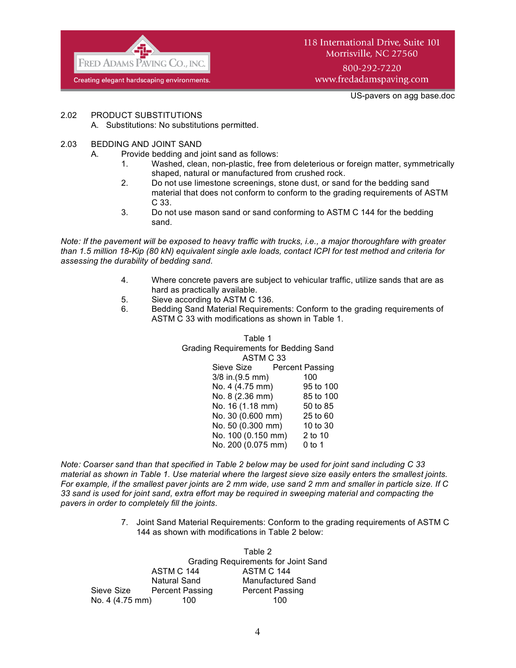

118 International Drive, Suite 101 Morrisville, NC 27560 800-292-7220 www.fredadamspaving.com

US-pavers on agg base.doc

- 2.02 PRODUCT SUBSTITUTIONS
	- A. Substitutions: No substitutions permitted.
- 2.03 BEDDING AND JOINT SAND
	- A. Provide bedding and joint sand as follows:
		- 1. Washed, clean, non-plastic, free from deleterious or foreign matter, symmetrically shaped, natural or manufactured from crushed rock.
		- 2. Do not use limestone screenings, stone dust, or sand for the bedding sand material that does not conform to conform to the grading requirements of ASTM C 33.
		- 3. Do not use mason sand or sand conforming to ASTM C 144 for the bedding sand.

*Note: If the pavement will be exposed to heavy traffic with trucks, i.e., a major thoroughfare with greater than 1.5 million 18-Kip (80 kN) equivalent single axle loads, contact ICPI for test method and criteria for assessing the durability of bedding sand.*

- 4. Where concrete pavers are subject to vehicular traffic, utilize sands that are as hard as practically available.
- 5. Sieve according to ASTM C 136.
- 6. Bedding Sand Material Requirements: Conform to the grading requirements of ASTM C 33 with modifications as shown in Table 1.

Table 1 Grading Requirements for Bedding Sand ASTM C 33 Sieve Size Percent Passing 3/8 in.(9.5 mm) 100<br>No. 4 (4.75 mm) 95 to 100 No.  $4(4.75 \text{ mm})$ No. 8 (2.36 mm) 85 to 100 No. 16 (1.18 mm) 50 to 85 No. 30 (0.600 mm) 25 to 60 No. 50 (0.300 mm) 10 to 30 No. 100 (0.150 mm) 2 to 10 No. 200 (0.075 mm) 0 to 1

*Note: Coarser sand than that specified in Table 2 below may be used for joint sand including C 33 material as shown in Table 1. Use material where the largest sieve size easily enters the smallest joints. For example, if the smallest paver joints are 2 mm wide, use sand 2 mm and smaller in particle size. If C 33 sand is used for joint sand, extra effort may be required in sweeping material and compacting the pavers in order to completely fill the joints.*

> 7. Joint Sand Material Requirements: Conform to the grading requirements of ASTM C 144 as shown with modifications in Table 2 below:

Table 2 Grading Requirements for Joint Sand ASTM C 144 ASTM C 144 Natural Sand Manufactured Sand Sieve Size Percent Passing Percent Passing No. 4 (4.75 mm) 100 100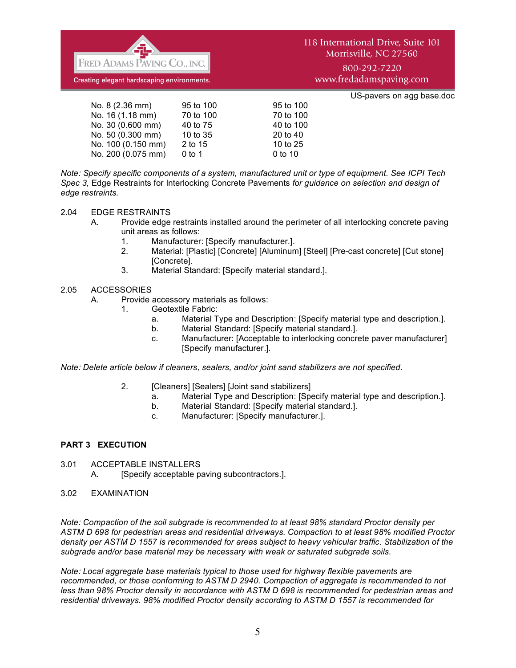

800-292-7220 www.fredadamspaving.com

US-pavers on agg base.doc

| No. 8 (2.36 mm)    | 95 to 100 | 95 to 100 |
|--------------------|-----------|-----------|
| No. 16 (1.18 mm)   | 70 to 100 | 70 to 100 |
| No. 30 (0.600 mm)  | 40 to 75  | 40 to 100 |
| No. 50 (0.300 mm)  | 10 to 35  | 20 to 40  |
| No. 100 (0.150 mm) | 2 to 15   | 10 to 25  |
| No. 200 (0.075 mm) | $0$ to 1  | 0 to 10   |
|                    |           |           |

*Note: Specify specific components of a system, manufactured unit or type of equipment. See ICPI Tech Spec 3,* Edge Restraints for Interlocking Concrete Pavements *for guidance on selection and design of edge restraints.*

#### 2.04 EDGE RESTRAINTS

- A. Provide edge restraints installed around the perimeter of all interlocking concrete paving unit areas as follows:
	- 1. Manufacturer: [Specify manufacturer.].
	- 2. Material: [Plastic] [Concrete] [Aluminum] [Steel] [Pre-cast concrete] [Cut stone] [Concrete].
	- 3. Material Standard: [Specify material standard.].

### 2.05 ACCESSORIES

- A. Provide accessory materials as follows:
	- 1. Geotextile Fabric:
		- a. Material Type and Description: [Specify material type and description.].
		- b. Material Standard: [Specify material standard.].
		- c. Manufacturer: [Acceptable to interlocking concrete paver manufacturer] [Specify manufacturer.].

*Note: Delete article below if cleaners, sealers, and/or joint sand stabilizers are not specified.*

- 2. **[Cleaners] [Sealers] [Joint sand stabilizers]** 
	- a. Material Type and Description: [Specify material type and description.].
	- b. Material Standard: [Specify material standard.].
	- c. Manufacturer: [Specify manufacturer.].

## **PART 3 EXECUTION**

- 3.01 ACCEPTABLE INSTALLERS
	- A. [Specify acceptable paving subcontractors.].
- 3.02 EXAMINATION

*Note: Compaction of the soil subgrade is recommended to at least 98% standard Proctor density per ASTM D 698 for pedestrian areas and residential driveways. Compaction to at least 98% modified Proctor density per ASTM D 1557 is recommended for areas subject to heavy vehicular traffic. Stabilization of the subgrade and/or base material may be necessary with weak or saturated subgrade soils.*

*Note: Local aggregate base materials typical to those used for highway flexible pavements are recommended, or those conforming to ASTM D 2940. Compaction of aggregate is recommended to not less than 98% Proctor density in accordance with ASTM D 698 is recommended for pedestrian areas and residential driveways. 98% modified Proctor density according to ASTM D 1557 is recommended for*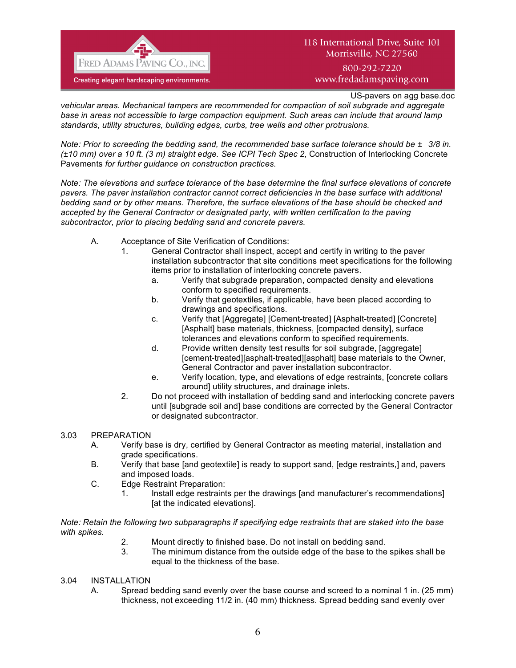

800-292-7220 www.fredadamspaving.com

US-pavers on agg base.doc

*vehicular areas. Mechanical tampers are recommended for compaction of soil subgrade and aggregate base in areas not accessible to large compaction equipment. Such areas can include that around lamp standards, utility structures, building edges, curbs, tree wells and other protrusions.* 

*Note: Prior to screeding the bedding sand, the recommended base surface tolerance should be ±3/8 in. (±10 mm) over a 10 ft. (3 m) straight edge. See ICPI Tech Spec 2,* Construction of Interlocking Concrete Pavements *for further guidance on construction practices.*

*Note: The elevations and surface tolerance of the base determine the final surface elevations of concrete pavers. The paver installation contractor cannot correct deficiencies in the base surface with additional bedding sand or by other means. Therefore, the surface elevations of the base should be checked and accepted by the General Contractor or designated party, with written certification to the paving subcontractor, prior to placing bedding sand and concrete pavers.*

- A. Acceptance of Site Verification of Conditions:
	- 1. General Contractor shall inspect, accept and certify in writing to the paver installation subcontractor that site conditions meet specifications for the following items prior to installation of interlocking concrete pavers.
		- a. Verify that subgrade preparation, compacted density and elevations conform to specified requirements.
		- b. Verify that geotextiles, if applicable, have been placed according to drawings and specifications.
		- c. Verify that [Aggregate] [Cement-treated] [Asphalt-treated] [Concrete] [Asphalt] base materials, thickness, [compacted density], surface tolerances and elevations conform to specified requirements.
		- d. Provide written density test results for soil subgrade, [aggregate] [cement-treated][asphalt-treated][asphalt] base materials to the Owner, General Contractor and paver installation subcontractor.
		- e. Verify location, type, and elevations of edge restraints, [concrete collars around] utility structures, and drainage inlets.
	- 2. Do not proceed with installation of bedding sand and interlocking concrete pavers until [subgrade soil and] base conditions are corrected by the General Contractor or designated subcontractor.

#### 3.03 PREPARATION

- A. Verify base is dry, certified by General Contractor as meeting material, installation and grade specifications.
- B. Verify that base [and geotextile] is ready to support sand, [edge restraints,] and, pavers and imposed loads.
- C. Edge Restraint Preparation:
	- 1. Install edge restraints per the drawings [and manufacturer's recommendations] [at the indicated elevations].

*Note: Retain the following two subparagraphs if specifying edge restraints that are staked into the base with spikes.* 

- 2. Mount directly to finished base. Do not install on bedding sand.
- 3. The minimum distance from the outside edge of the base to the spikes shall be equal to the thickness of the base.

#### 3.04 INSTALLATION

A. Spread bedding sand evenly over the base course and screed to a nominal 1 in. (25 mm) thickness, not exceeding 11/2 in. (40 mm) thickness. Spread bedding sand evenly over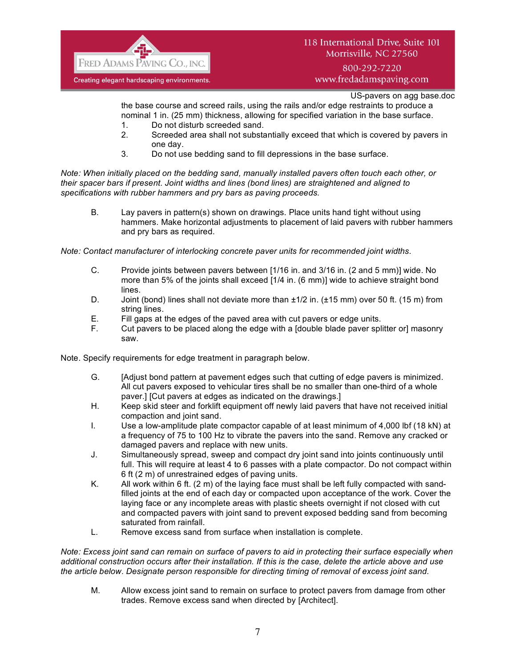

## 800-292-7220 www.fredadamspaving.com

US-pavers on agg base.doc

the base course and screed rails, using the rails and/or edge restraints to produce a nominal 1 in. (25 mm) thickness, allowing for specified variation in the base surface.

- 1. Do not disturb screeded sand.
- 2. Screeded area shall not substantially exceed that which is covered by pavers in one day.
- 3. Do not use bedding sand to fill depressions in the base surface.

*Note: When initially placed on the bedding sand, manually installed pavers often touch each other, or their spacer bars if present. Joint widths and lines (bond lines) are straightened and aligned to specifications with rubber hammers and pry bars as paving proceeds.*

B. Lay pavers in pattern(s) shown on drawings. Place units hand tight without using hammers. Make horizontal adjustments to placement of laid pavers with rubber hammers and pry bars as required.

*Note: Contact manufacturer of interlocking concrete paver units for recommended joint widths.*

- C. Provide joints between pavers between [1/16 in. and 3/16 in. (2 and 5 mm)] wide. No more than 5% of the joints shall exceed [1/4 in. (6 mm)] wide to achieve straight bond lines.
- D. Joint (bond) lines shall not deviate more than  $\pm 1/2$  in. ( $\pm 15$  mm) over 50 ft. (15 m) from string lines.
- E. Fill gaps at the edges of the paved area with cut pavers or edge units.
- F. Cut pavers to be placed along the edge with a [double blade paver splitter or] masonry saw.

Note. Specify requirements for edge treatment in paragraph below.

- G. [Adjust bond pattern at pavement edges such that cutting of edge pavers is minimized. All cut pavers exposed to vehicular tires shall be no smaller than one-third of a whole paver.] [Cut pavers at edges as indicated on the drawings.]
- H. Keep skid steer and forklift equipment off newly laid pavers that have not received initial compaction and joint sand.
- I. Use a low-amplitude plate compactor capable of at least minimum of 4,000 lbf (18 kN) at a frequency of 75 to 100 Hz to vibrate the pavers into the sand. Remove any cracked or damaged pavers and replace with new units.
- J. Simultaneously spread, sweep and compact dry joint sand into joints continuously until full. This will require at least 4 to 6 passes with a plate compactor. Do not compact within 6 ft (2 m) of unrestrained edges of paving units.
- K. All work within 6 ft. (2 m) of the laying face must shall be left fully compacted with sandfilled joints at the end of each day or compacted upon acceptance of the work. Cover the laying face or any incomplete areas with plastic sheets overnight if not closed with cut and compacted pavers with joint sand to prevent exposed bedding sand from becoming saturated from rainfall.
- L. Remove excess sand from surface when installation is complete.

*Note: Excess joint sand can remain on surface of pavers to aid in protecting their surface especially when additional construction occurs after their installation. If this is the case, delete the article above and use the article below. Designate person responsible for directing timing of removal of excess joint sand.*

M. Allow excess joint sand to remain on surface to protect pavers from damage from other trades. Remove excess sand when directed by [Architect].